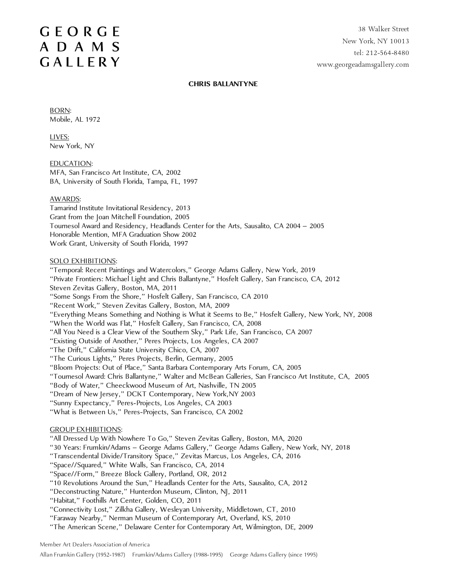# **GEORGE** ADAMS GALLERY

#### **CHRIS BALLANTYNE**

BORN: Mobile, AL 1972

LIVES: New York, NY

EDUCATION: MFA, San Francisco Art Institute, CA, 2002 BA, University of South Florida, Tampa, FL, 1997

## AWARDS:

Tamarind Institute Invitational Residency, 2013 Grant from the Joan Mitchell Foundation, 2005 Tournesol Award and Residency, Headlands Center for the Arts, Sausalito, CA 2004 – 2005 Honorable Mention, MFA Graduation Show 2002 Work Grant, University of South Florida, 1997

#### SOLO EXHIBITIONS:

"Temporal: Recent Paintings and Watercolors," George Adams Gallery, New York, 2019 "Private Frontiers: Michael Light and Chris Ballantyne," Hosfelt Gallery, San Francisco, CA, 2012 Steven Zevitas Gallery, Boston, MA, 2011 "Some Songs From the Shore," Hosfelt Gallery, San Francisco, CA 2010

"Recent Work," Steven Zevitas Gallery, Boston, MA, 2009

"Everything Means Something and Nothing is What it Seems to Be," Hosfelt Gallery, New York, NY, 2008

"When the World was Flat," Hosfelt Gallery, San Francisco, CA, 2008

"All You Need is a Clear View of the Southern Sky," Park Life, San Francisco, CA 2007

"Existing Outside of Another," Peres Projects, Los Angeles, CA 2007

"The Drift," California State University Chico, CA, 2007

"The Curious Lights," Peres Projects, Berlin, Germany, 2005

"Bloom Projects: Out of Place," Santa Barbara Contemporary Arts Forum, CA, 2005

"Tournesol Award: Chris Ballantyne," Walter and McBean Galleries, San Francisco Art Institute, CA, 2005

"Body of Water," Cheeckwood Museum of Art, Nashville, TN 2005

"Dream of New Jersey," DCKT Contemporary, New York,NY 2003

"Sunny Expectancy," Peres-Projects, Los Angeles, CA 2003

"What is Between Us," Peres-Projects, San Francisco, CA 2002

## GROUP EXHIBITIONS:

"All Dressed Up With Nowhere To Go," Steven Zevitas Gallery, Boston, MA, 2020

"30 Years: Frumkin/Adams – George Adams Gallery," George Adams Gallery, New York, NY, 2018

"Transcendental Divide/Transitory Space," Zevitas Marcus, Los Angeles, CA, 2016

"Space//Squared," White Walls, San Francisco, CA, 2014

"Space//Form," Breeze Block Gallery, Portland, OR, 2012

"10 Revolutions Around the Sun," Headlands Center for the Arts, Sausalito, CA, 2012

"Deconstructing Nature," Hunterdon Museum, Clinton, NJ, 2011

"Habitat," Foothills Art Center, Golden, CO, 2011

"Connectivity Lost," Zilkha Gallery, Wesleyan University, Middletown, CT, 2010

"Faraway Nearby," Nerman Museum of Contemporary Art, Overland, KS, 2010

"The American Scene," Delaware Center for Contemporary Art, Wilmington, DE, 2009